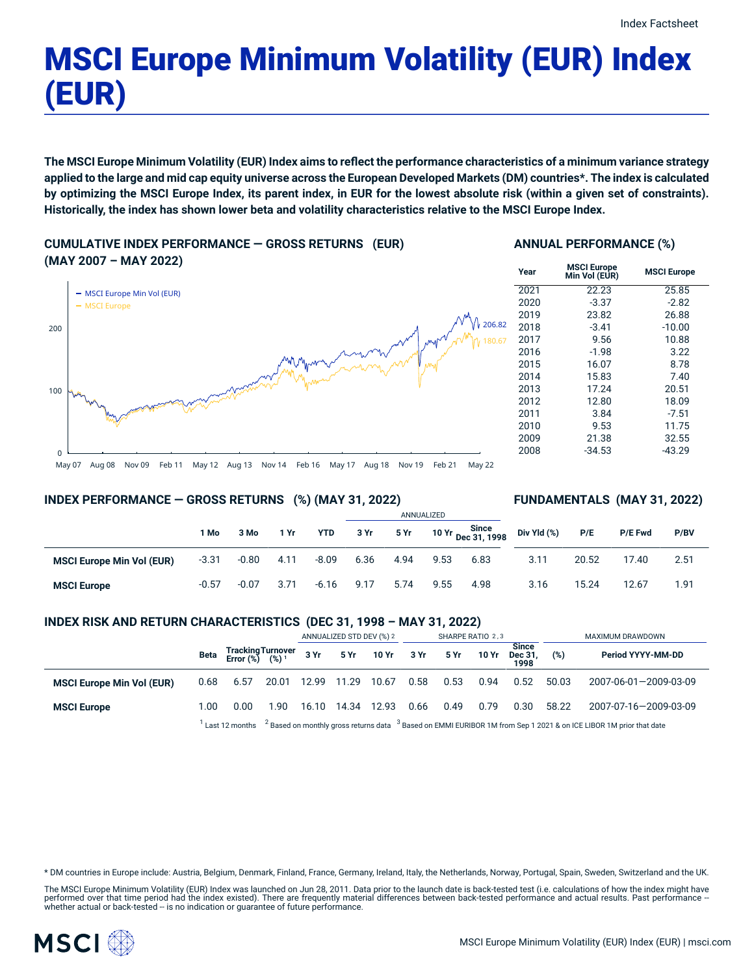# MSCI Europe Minimum Volatility (EUR) Index (EUR)

The MSCI Europe Minimum Volatility (EUR) Index aims to reflect the performance characteristics of a minimum variance strategy applied to the large and mid cap equity universe across the European Developed Markets (DM) countries\*. The index is calculated by optimizing the MSCI Europe Index, its parent index, in EUR for the lowest absolute risk (within a given set of constraints). **Historically, the index has shown lower beta and volatility characteristics relative to the MSCI Europe Index.**

**CUMULATIVE INDEX PERFORMANCE — GROSS RETURNS (EUR) (MAY 2007 – MAY 2022)**



#### **ANNUAL PERFORMANCE (%)**

| Year | <b>MSCI Europe</b><br>Min Vol (EUR) | <b>MSCI Europe</b> |
|------|-------------------------------------|--------------------|
| 2021 | 22.23                               | 25.85              |
| 2020 | $-3.37$                             | $-2.82$            |
| 2019 | 23.82                               | 26.88              |
| 2018 | $-3.41$                             | $-10.00$           |
| 2017 | 9.56                                | 10.88              |
| 2016 | $-1.98$                             | 3.22               |
| 2015 | 16.07                               | 8.78               |
| 2014 | 15.83                               | 7.40               |
| 2013 | 17.24                               | 20.51              |
| 2012 | 12.80                               | 18.09              |
| 2011 | 3.84                                | $-7.51$            |
| 2010 | 9.53                                | 11.75              |
| 2009 | 21.38                               | 32.55              |
| 2008 | $-34.53$                            | $-43.29$           |

May 07 Aug 08 Nov 09 Feb 11 May 12 Aug 13 Nov 14 Feb 16 May 17 Aug 18 Nov 19 Feb 21 May 22

#### **INDEX PERFORMANCE — GROSS RETURNS (%) (MAY 31, 2022)**

#### **FUNDAMENTALS (MAY 31, 2022)**

|                                  |         |         |      |            |      |      | ANNUALIZED |                             |             |       |         |      |
|----------------------------------|---------|---------|------|------------|------|------|------------|-----------------------------|-------------|-------|---------|------|
|                                  | 1 Mo    | 3 Mo    | 1 Yr | <b>YTD</b> | 3 Yr | 5 Yr |            | 10 Yr Since<br>Dec 31, 1998 | Div Yld (%) | P/E   | P/E Fwd | P/BV |
| <b>MSCI Europe Min Vol (EUR)</b> | $-3.31$ | $-0.80$ | 4.11 | $-8.09$    | 6.36 | 4.94 | 9.53       | 6.83                        | 3.11        | 20.52 | 17.40   | 2.51 |
| <b>MSCI Europe</b>               | $-0.57$ | $-0.07$ | 3.71 | $-6.16$    | 9.17 | 5.74 | 9.55       | 4.98                        | 3.16        | 15.24 | 12.67   | 1.91 |

#### **INDEX RISK AND RETURN CHARACTERISTICS (DEC 31, 1998 – MAY 31, 2022)**

|                                  |      |                                                 |                                                                                                                        | ANNUALIZED STD DEV (%) 2 |             |                      | SHARPE RATIO 2,3 |      |       |                                 | MAXIMUM DRAWDOWN |                       |  |
|----------------------------------|------|-------------------------------------------------|------------------------------------------------------------------------------------------------------------------------|--------------------------|-------------|----------------------|------------------|------|-------|---------------------------------|------------------|-----------------------|--|
|                                  | Beta | Tracking Turnover<br>Error (%) (%) <sup>1</sup> |                                                                                                                        |                          |             | 3 Yr 5 Yr 10 Yr 3 Yr |                  | 5 Yr | 10 Yr | <b>Since</b><br>Dec 31.<br>1998 | (%)              | Period YYYY-MM-DD     |  |
| <b>MSCI Europe Min Vol (EUR)</b> | 0.68 | 6.57                                            | 20.01                                                                                                                  |                          |             |                      | 0.58             | 0.53 | 0.94  | 0.52                            | 50.03            | 2007-06-01-2009-03-09 |  |
| <b>MSCI Europe</b>               | 1.00 | 0.00                                            | 1.90                                                                                                                   | 16.10                    | 14.34 12.93 |                      | 0.66             | 0.49 | 0.79  | 0.30                            | 58.22            | 2007-07-16-2009-03-09 |  |
|                                  |      | Last 12 months                                  | $2$ Based on monthly gross returns data $3$ Based on EMMI EURIBOR 1M from Sep 1 2021 & on ICE LIBOR 1M prior that date |                          |             |                      |                  |      |       |                                 |                  |                       |  |

\* DM countries in Europe include: Austria, Belgium, Denmark, Finland, France, Germany, Ireland, Italy, the Netherlands, Norway, Portugal, Spain, Sweden, Switzerland and the UK.

The MSCI Europe Minimum Volatility (EUR) Index was launched on Jun 28, 2011. Data prior to the launch date is back-tested test (i.e. calculations of how the index might have performed over that time period had the index existed). There are frequently material differences between back-tested performance and actual results. Past performance –<br>whether actual or back-tested – is no indication or g

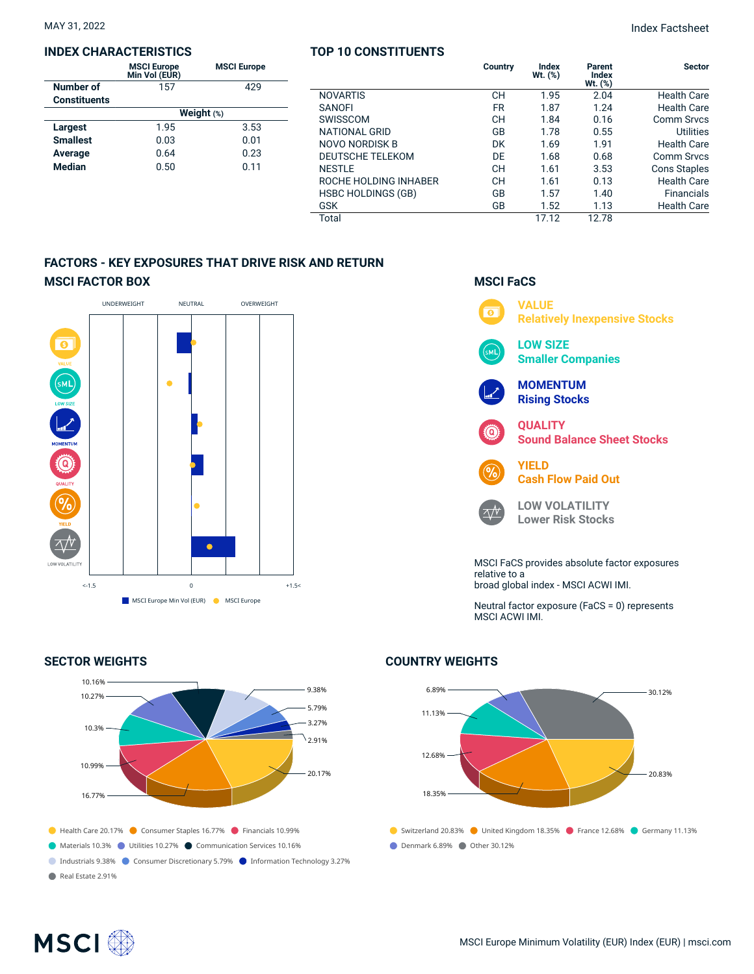#### **INDEX CHARACTERISTICS**

|                     | <b>MSCI Europe</b><br>Min Vol (EUR) | <b>MSCI Europe</b> |  |  |  |  |  |
|---------------------|-------------------------------------|--------------------|--|--|--|--|--|
| Number of           | 157                                 | 429                |  |  |  |  |  |
| <b>Constituents</b> |                                     |                    |  |  |  |  |  |
|                     | Weight $(*)$                        |                    |  |  |  |  |  |
| Largest             | 1.95                                | 3.53               |  |  |  |  |  |
| <b>Smallest</b>     | 0.03                                | 0.01               |  |  |  |  |  |
| Average             | 0.64                                | 0.23               |  |  |  |  |  |
| <b>Median</b>       | 0.50                                | 0.11               |  |  |  |  |  |

#### **TOP 10 CONSTITUENTS**

|                         | Country   | Index<br>Wt. (%) | Parent<br>Index<br>Wt. (%) | <b>Sector</b>       |
|-------------------------|-----------|------------------|----------------------------|---------------------|
| NOVARTIS                | CН        | 1.95             | 2.04                       | <b>Health Care</b>  |
| SANOFI                  | <b>FR</b> | 1.87             | 1.24                       | <b>Health Care</b>  |
| SWISSCOM                | CН        | 1.84             | 0.16                       | <b>Comm Srvcs</b>   |
| NATIONAL GRID           | GB        | 1.78             | 0.55                       | Utilities           |
| NOVO NORDISK B          | DK        | 1.69             | 1.91                       | <b>Health Care</b>  |
| <b>DEUTSCHE TELEKOM</b> | DE        | 1.68             | 0.68                       | <b>Comm Srvcs</b>   |
| NESTLE                  | CН        | 1.61             | 3.53                       | <b>Cons Staples</b> |
| ROCHE HOLDING INHABER   | CН        | 1.61             | 0.13                       | <b>Health Care</b>  |
| HSBC HOLDINGS (GB)      | GB        | 1.57             | 1.40                       | <b>Financials</b>   |
| GSK                     | GB        | 1.52             | 1.13                       | <b>Health Care</b>  |
| Total                   |           | 17.12            | 12.78                      |                     |

### **FACTORS - KEY EXPOSURES THAT DRIVE RISK AND RETURN MSCI FACTOR BOX**



#### **SECTOR WEIGHTS**



## **MSCI FaCS**



Neutral factor exposure (FaCS = 0) represents MSCI ACWI IMI.

## ● Switzerland 20.83% ● United Kingdom 18.35% ● France 12.68% ● Germany 11.13% Denmark 6.89% Other 30.12% 6.89% 11.13% 12.68% 18.35%  $-30.12%$ 20.83%

#### **COUNTRY WEIGHTS**